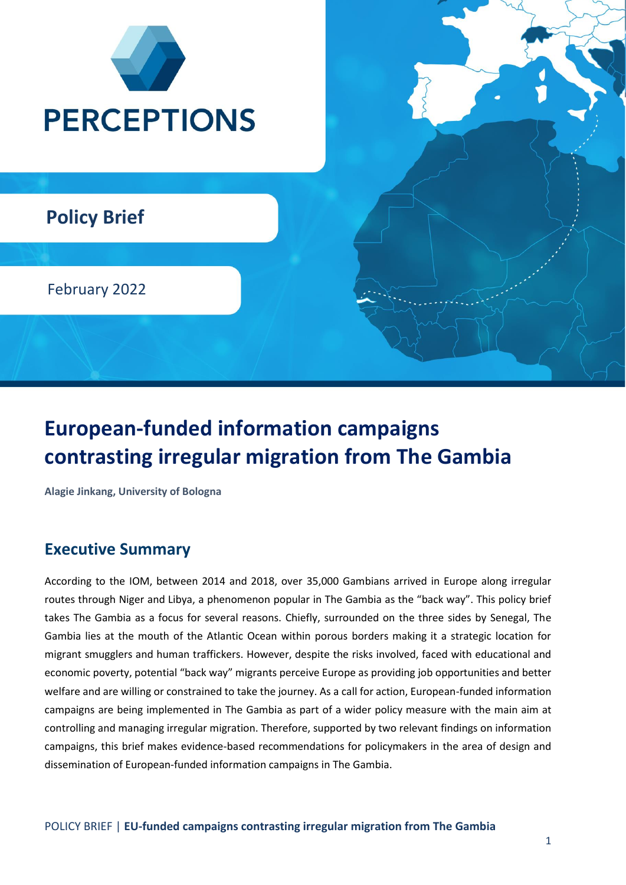

# **European-funded information campaigns contrasting irregular migration from The Gambia**

**Alagie Jinkang, University of Bologna**

### **Executive Summary**

According to the IOM, between 2014 and 2018, over 35,000 Gambians arrived in Europe along irregular routes through Niger and Libya, a phenomenon popular in The Gambia as the "back way". This policy brief takes The Gambia as a focus for several reasons. Chiefly, surrounded on the three sides by Senegal, The Gambia lies at the mouth of the Atlantic Ocean within porous borders making it a strategic location for migrant smugglers and human traffickers. However, despite the risks involved, faced with educational and economic poverty, potential "back way" migrants perceive Europe as providing job opportunities and better welfare and are willing or constrained to take the journey. As a call for action, European-funded information campaigns are being implemented in The Gambia as part of a wider policy measure with the main aim at controlling and managing irregular migration. Therefore, supported by two relevant findings on information campaigns, this brief makes evidence-based recommendations for policymakers in the area of design and dissemination of European-funded information campaigns in The Gambia.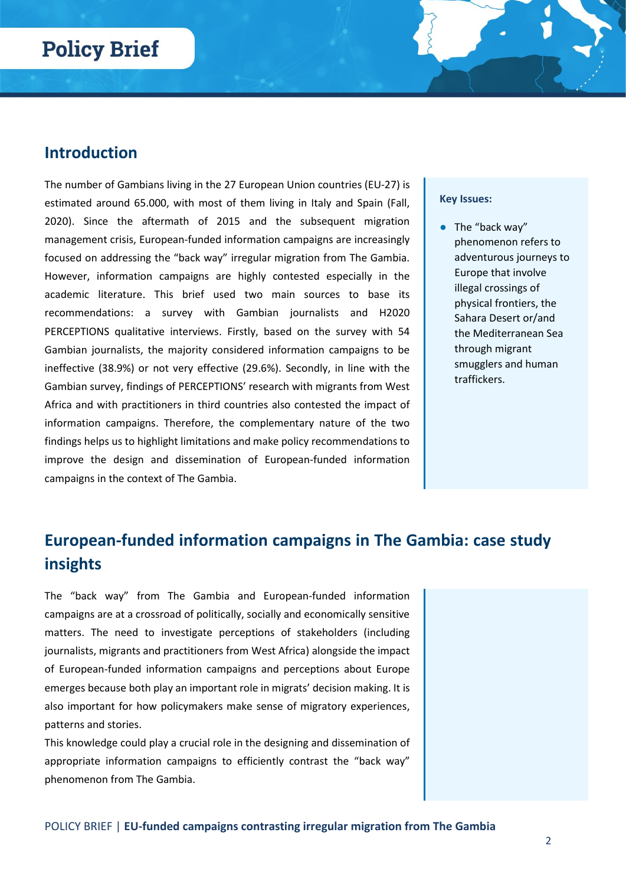### **Introduction**

The number of Gambians living in the 27 European Union countries (EU-27) is estimated around 65.000, with most of them living in Italy and Spain (Fall, 2020). Since the aftermath of 2015 and the subsequent migration management crisis, European-funded information campaigns are increasingly focused on addressing the "back way" irregular migration from The Gambia. However, information campaigns are highly contested especially in the academic literature. This brief used two main sources to base its recommendations: a survey with Gambian journalists and H2020 PERCEPTIONS qualitative interviews. Firstly, based on the survey with 54 Gambian journalists, the majority considered information campaigns to be ineffective (38.9%) or not very effective (29.6%). Secondly, in line with the Gambian survey, findings of PERCEPTIONS' research with migrants from West Africa and with practitioners in third countries also contested the impact of information campaigns. Therefore, the complementary nature of the two findings helps us to highlight limitations and make policy recommendations to improve the design and dissemination of European-funded information campaigns in the context of The Gambia.

#### **Key Issues:**

● The "back way" phenomenon refers to adventurous journeys to Europe that involve illegal crossings of physical frontiers, the Sahara Desert or/and the Mediterranean Sea through migrant smugglers and human traffickers.

### **European-funded information campaigns in The Gambia: case study insights**

The "back way" from The Gambia and European-funded information campaigns are at a crossroad of politically, socially and economically sensitive matters. The need to investigate perceptions of stakeholders (including journalists, migrants and practitioners from West Africa) alongside the impact of European-funded information campaigns and perceptions about Europe emerges because both play an important role in migrats' decision making. It is also important for how policymakers make sense of migratory experiences, patterns and stories.

This knowledge could play a crucial role in the designing and dissemination of appropriate information campaigns to efficiently contrast the "back way" phenomenon from The Gambia.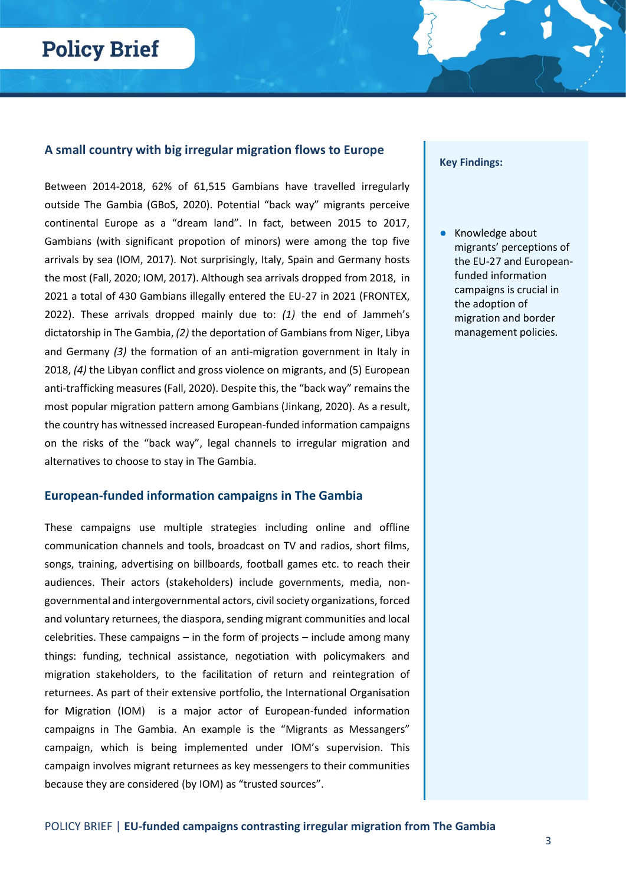#### **A small country with big irregular migration flows to Europe**

Between 2014-2018, 62% of 61,515 Gambians have travelled irregularly outside The Gambia (GBoS, 2020). Potential "back way" migrants perceive continental Europe as a "dream land". In fact, between 2015 to 2017, Gambians (with significant propotion of minors) were among the top five arrivals by sea (IOM, 2017). Not surprisingly, Italy, Spain and Germany hosts the most (Fall, 2020; IOM, 2017). Although sea arrivals dropped from 2018, in 2021 a total of 430 Gambians illegally entered the EU-27 in 2021 (FRONTEX, 2022). These arrivals dropped mainly due to: *(1)* the end of Jammeh's dictatorship in The Gambia, *(2)* the deportation of Gambians from Niger, Libya and Germany *(3)* the formation of an anti-migration government in Italy in 2018, *(4)* the Libyan conflict and gross violence on migrants, and (5) European anti-trafficking measures (Fall, 2020). Despite this, the "back way" remains the most popular migration pattern among Gambians (Jinkang, 2020). As a result, the country has witnessed increased European-funded information campaigns on the risks of the "back way", legal channels to irregular migration and alternatives to choose to stay in The Gambia.

#### **European-funded information campaigns in The Gambia**

These campaigns use multiple strategies including online and offline communication channels and tools, broadcast on TV and radios, short films, songs, training, advertising on billboards, football games etc. to reach their audiences. Their actors (stakeholders) include governments, media, nongovernmental and intergovernmental actors, civil society organizations, forced and voluntary returnees, the diaspora, sending migrant communities and local celebrities. These campaigns – in the form of projects – include among many things: funding, technical assistance, negotiation with policymakers and migration stakeholders, to the facilitation of return and reintegration of returnees. As part of their extensive portfolio, the International Organisation for Migration (IOM) is a major actor of European-funded information campaigns in The Gambia. An example is the "Migrants as Messangers" campaign, which is being implemented under IOM's supervision. This campaign involves migrant returnees as key messengers to their communities because they are considered (by IOM) as "trusted sources".

#### **Key Findings:**

Knowledge about migrants' perceptions of the EU-27 and Europeanfunded information campaigns is crucial in the adoption of migration and border management policies.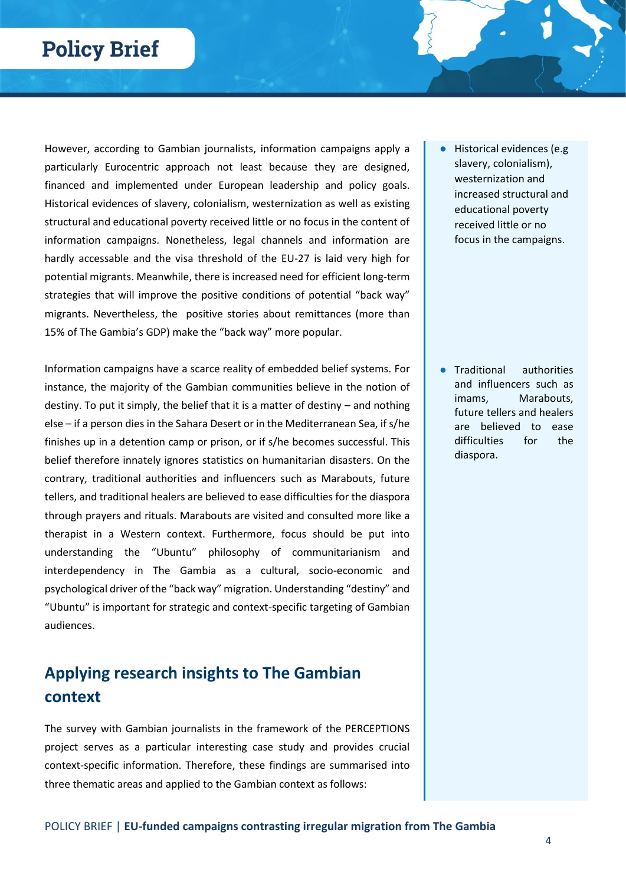However, according to Gambian journalists, information campaigns apply a particularly Eurocentric approach not least because they are designed, financed and implemented under European leadership and policy goals. Historical evidences of slavery, colonialism, westernization as well as existing structural and educational poverty received little or no focus in the content of information campaigns. Nonetheless, legal channels and information are hardly accessable and the visa threshold of the EU-27 is laid very high for potential migrants. Meanwhile, there is increased need for efficient long-term strategies that will improve the positive conditions of potential "back way" migrants. Nevertheless, the positive stories about remittances (more than 15% of The Gambia's GDP) make the "back way" more popular.

Information campaigns have a scarce reality of embedded belief systems. For instance, the majority of the Gambian communities believe in the notion of destiny. To put it simply, the belief that it is a matter of destiny – and nothing else – if a person dies in the Sahara Desert or in the Mediterranean Sea, if s/he finishes up in a detention camp or prison, or if s/he becomes successful. This belief therefore innately ignores statistics on humanitarian disasters. On the contrary, traditional authorities and influencers such as Marabouts, future tellers, and traditional healers are believed to ease difficulties for the diaspora through prayers and rituals. Marabouts are visited and consulted more like a therapist in a Western context. Furthermore, focus should be put into understanding the "Ubuntu" philosophy of communitarianism and interdependency in The Gambia as a cultural, socio-economic and psychological driver of the "back way" migration. Understanding "destiny" and "Ubuntu" is important for strategic and context-specific targeting of Gambian audiences.

### **Applying research insights to The Gambian context**

The survey with Gambian journalists in the framework of the PERCEPTIONS project serves as a particular interesting case study and provides crucial context-specific information. Therefore, these findings are summarised into three thematic areas and applied to the Gambian context as follows:

Historical evidences (e.g slavery, colonialism), westernization and increased structural and educational poverty received little or no focus in the campaigns.

● Traditional authorities and influencers such as imams, Marabouts, future tellers and healers are believed to ease difficulties for the diaspora.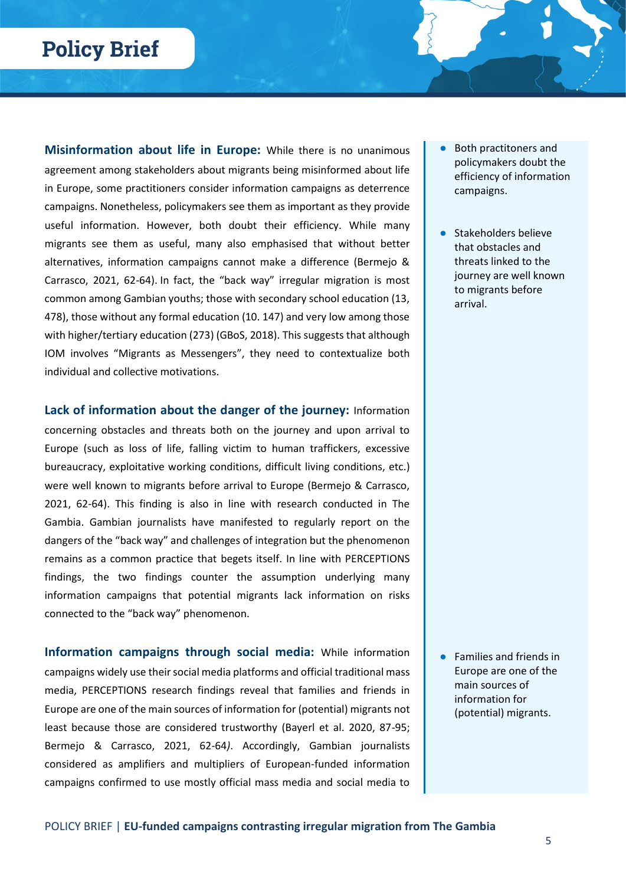**Misinformation about life in Europe:** While there is no unanimous agreement among stakeholders about migrants being misinformed about life in Europe, some practitioners consider information campaigns as deterrence campaigns. Nonetheless, policymakers see them as important as they provide useful information. However, both doubt their efficiency. While many migrants see them as useful, many also emphasised that without better alternatives, information campaigns cannot make a difference (Bermejo & Carrasco, 2021, 62-64). In fact, the "back way" irregular migration is most common among Gambian youths; those with secondary school education (13, 478), those without any formal education (10. 147) and very low among those with higher/tertiary education (273) (GBoS, 2018). This suggests that although IOM involves "Migrants as Messengers", they need to contextualize both individual and collective motivations.

**Lack of information about the danger of the journey:** Information concerning obstacles and threats both on the journey and upon arrival to Europe (such as loss of life, falling victim to human traffickers, excessive bureaucracy, exploitative working conditions, difficult living conditions, etc.) were well known to migrants before arrival to Europe (Bermejo & Carrasco, 2021, 62-64). This finding is also in line with research conducted in The Gambia. Gambian journalists have manifested to regularly report on the dangers of the "back way" and challenges of integration but the phenomenon remains as a common practice that begets itself. In line with PERCEPTIONS findings, the two findings counter the assumption underlying many information campaigns that potential migrants lack information on risks connected to the "back way" phenomenon.

**Information campaigns through social media:** While information campaigns widely use their social media platforms and official traditional mass media, PERCEPTIONS research findings reveal that families and friends in Europe are one of the main sources of information for (potential) migrants not least because those are considered trustworthy (Bayerl et al. 2020, 87-95; Bermejo & Carrasco, 2021, 62-64*)*. Accordingly, Gambian journalists considered as amplifiers and multipliers of European-funded information campaigns confirmed to use mostly official mass media and social media to

- Both practitoners and policymakers doubt the efficiency of information campaigns.
- Stakeholders believe that obstacles and threats linked to the journey are well known to migrants before arrival.

● Families and friends in Europe are one of the main sources of information for (potential) migrants.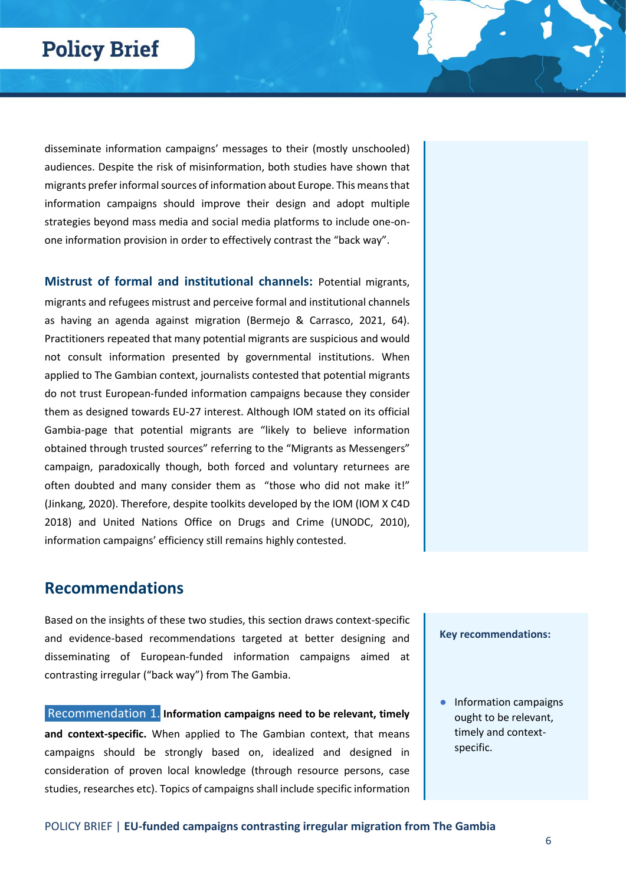disseminate information campaigns' messages to their (mostly unschooled) audiences. Despite the risk of misinformation, both studies have shown that migrants prefer informal sources of information about Europe. This means that information campaigns should improve their design and adopt multiple strategies beyond mass media and social media platforms to include one-onone information provision in order to effectively contrast the "back way".

**Mistrust of formal and institutional channels:** Potential migrants, migrants and refugees mistrust and perceive formal and institutional channels as having an agenda against migration (Bermejo & Carrasco, 2021, 64). Practitioners repeated that many potential migrants are suspicious and would not consult information presented by governmental institutions. When applied to The Gambian context, journalists contested that potential migrants do not trust European-funded information campaigns because they consider them as designed towards EU-27 interest. Although IOM stated on its official Gambia-page that potential migrants are "likely to believe information obtained through trusted sources" referring to the "Migrants as Messengers" campaign, paradoxically though, both forced and voluntary returnees are often doubted and many consider them as "those who did not make it!" (Jinkang, 2020). Therefore, despite toolkits developed by the IOM (IOM X C4D 2018) and United Nations Office on Drugs and Crime (UNODC, 2010), information campaigns' efficiency still remains highly contested.

### **Recommendations**

Based on the insights of these two studies, this section draws context-specific and evidence-based recommendations targeted at better designing and disseminating of European-funded information campaigns aimed at contrasting irregular ("back way") from The Gambia.

Recommendation 1. **Information campaigns need to be relevant, timely and context-specific.** When applied to The Gambian context, that means campaigns should be strongly based on, idealized and designed in consideration of proven local knowledge (through resource persons, case studies, researches etc). Topics of campaigns shall include specific information

#### **Key recommendations:**

● Information campaigns ought to be relevant, timely and contextspecific.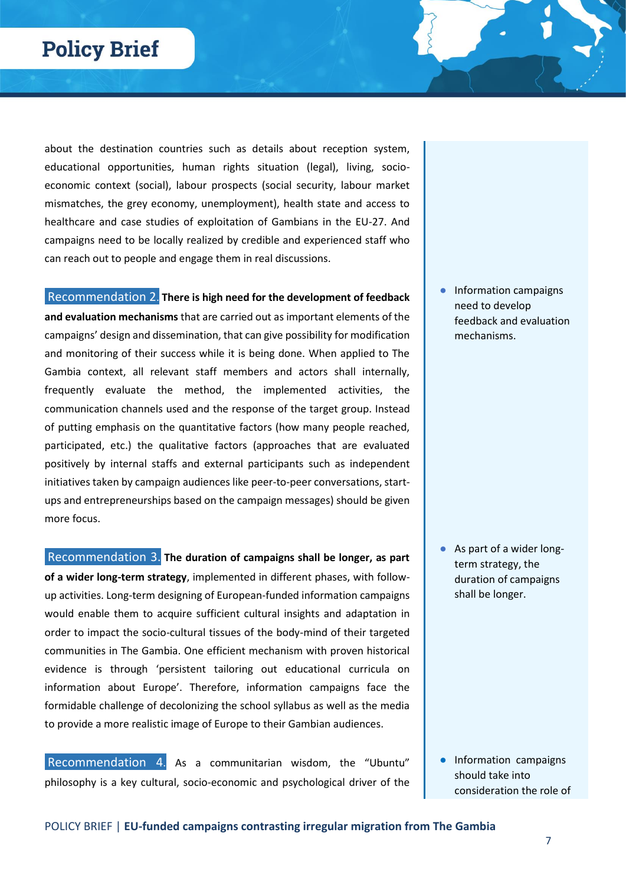about the destination countries such as details about reception system, educational opportunities, human rights situation (legal), living, socioeconomic context (social), labour prospects (social security, labour market mismatches, the grey economy, unemployment), health state and access to healthcare and case studies of exploitation of Gambians in the EU-27. And campaigns need to be locally realized by credible and experienced staff who can reach out to people and engage them in real discussions.

Recommendation 2. **There is high need for the development of feedback and evaluation mechanisms** that are carried out as important elements of the campaigns' design and dissemination, that can give possibility for modification and monitoring of their success while it is being done. When applied to The Gambia context, all relevant staff members and actors shall internally, frequently evaluate the method, the implemented activities, the communication channels used and the response of the target group. Instead of putting emphasis on the quantitative factors (how many people reached, participated, etc.) the qualitative factors (approaches that are evaluated positively by internal staffs and external participants such as independent initiatives taken by campaign audiences like peer-to-peer conversations, startups and entrepreneurships based on the campaign messages) should be given more focus.

Recommendation 3. **The duration of campaigns shall be longer, as part of a wider long-term strategy**, implemented in different phases, with followup activities. Long-term designing of European-funded information campaigns would enable them to acquire sufficient cultural insights and adaptation in order to impact the socio-cultural tissues of the body-mind of their targeted communities in The Gambia. One efficient mechanism with proven historical evidence is through 'persistent tailoring out educational curricula on information about Europe'. Therefore, information campaigns face the formidable challenge of decolonizing the school syllabus as well as the media to provide a more realistic image of Europe to their Gambian audiences.

Recommendation 4. As a communitarian wisdom, the "Ubuntu" philosophy is a key cultural, socio-economic and psychological driver of the ● Information campaigns need to develop feedback and evaluation mechanisms.

● As part of a wider longterm strategy, the duration of campaigns shall be longer.

**•** Information campaigns should take into consideration the role of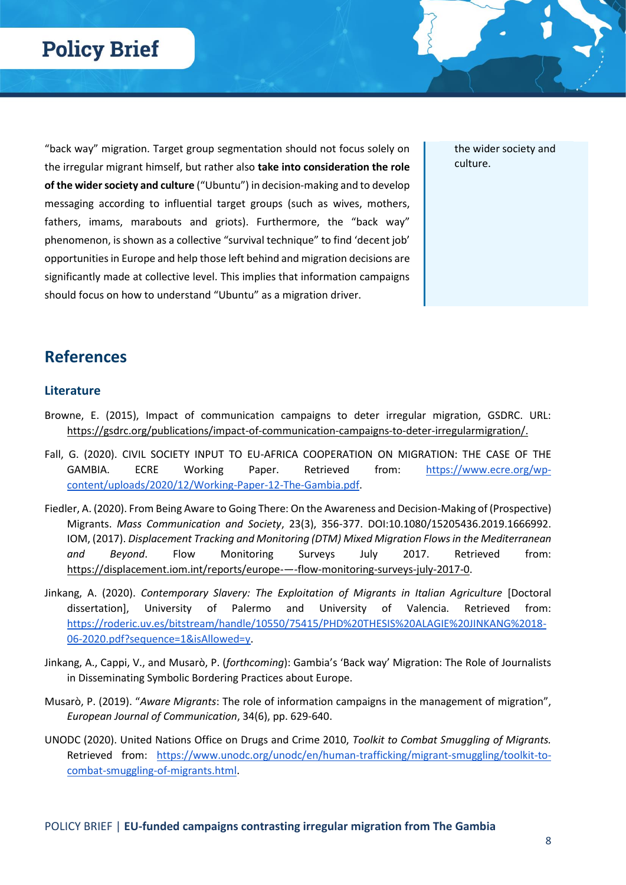"back way" migration. Target group segmentation should not focus solely on the irregular migrant himself, but rather also **take into consideration the role of the wider society and culture** ("Ubuntu") in decision-making and to develop messaging according to influential target groups (such as wives, mothers, fathers, imams, marabouts and griots). Furthermore, the "back way" phenomenon, is shown as a collective "survival technique" to find 'decent job' opportunities in Europe and help those left behind and migration decisions are significantly made at collective level. This implies that information campaigns should focus on how to understand "Ubuntu" as a migration driver.

the wider society and culture.

### **References**

#### **Literature**

- Browne, E. (2015), Impact of communication campaigns to deter irregular migration, GSDRC. URL[:](https://gsdrc.org/publications/impact-of-communication-campaigns-to-deter-irregularmigration/) [https://gsdrc.org/publications/impact-of-communication-campaigns-to-deter-irregularmigration/.](https://gsdrc.org/publications/impact-of-communication-campaigns-to-deter-irregularmigration/)
- Fall, G. (2020). CIVIL SOCIETY INPUT TO EU-AFRICA COOPERATION ON MIGRATION: THE CASE OF THE GAMBIA. ECRE Working Paper. Retrieved from: [https://www.ecre.org/wp](https://www.ecre.org/wp-content/uploads/2020/12/Working-Paper-12-The-Gambia.pdf)[content/uploads/2020/12/Working-Paper-12-The-Gambia.pdf.](https://www.ecre.org/wp-content/uploads/2020/12/Working-Paper-12-The-Gambia.pdf)
- Fiedler, A. (2020). From Being Aware to Going There: On the Awareness and Decision-Making of (Prospective) Migrants. *Mass Communication and Society*, 23(3), 356-377. DOI:10.1080/15205436.2019.1666992. IOM, (2017). *Displacement Tracking and Monitoring (DTM) Mixed Migration Flows in the Mediterranean and Beyond*. Flow Monitoring Surveys July 2017. Retrieved from[:](https://displacement.iom.int/reports/europe-%E2%80%94-flow-monitoring-surveys-july-2017-0) [https://displacement.iom.int/reports/europe-](https://displacement.iom.int/reports/europe-%E2%80%94-flow-monitoring-surveys-july-2017-0)—-flow-monitoring-surveys-july-2017-0.
- Jinkang, A. (2020). *Contemporary Slavery: The Exploitation of Migrants in Italian Agriculture* [Doctoral dissertation], University of Palermo and University of Valencia. Retrieved from: [https://roderic.uv.es/bitstream/handle/10550/75415/PHD%20THESIS%20ALAGIE%20JINKANG%2018-](https://roderic.uv.es/bitstream/handle/10550/75415/PHD%20THESIS%20ALAGIE%20JINKANG%2018-06-2020.pdf?sequence=1&isAllowed=y) [06-2020.pdf?sequence=1&isAllowed=y.](https://roderic.uv.es/bitstream/handle/10550/75415/PHD%20THESIS%20ALAGIE%20JINKANG%2018-06-2020.pdf?sequence=1&isAllowed=y)
- Jinkang, A., Cappi, V., and Musarò, P. (*forthcoming*): Gambia's 'Back way' Migration: The Role of Journalists in Disseminating Symbolic Bordering Practices about Europe.
- Musarò, P. (2019). "*Aware Migrants*: The role of information campaigns in the management of migration", *European Journal of Communication*, 34(6), pp. 629-640.
- UNODC (2020). United Nations Office on Drugs and Crime 2010, *Toolkit to Combat Smuggling of Migrants.*  Retrieved from: [https://www.unodc.org/unodc/en/human-trafficking/migrant-smuggling/toolkit-to](https://www.unodc.org/unodc/en/human-trafficking/migrant-smuggling/toolkit-to-combat-smuggling-of-migrants.html)[combat-smuggling-of-migrants.html.](https://www.unodc.org/unodc/en/human-trafficking/migrant-smuggling/toolkit-to-combat-smuggling-of-migrants.html)